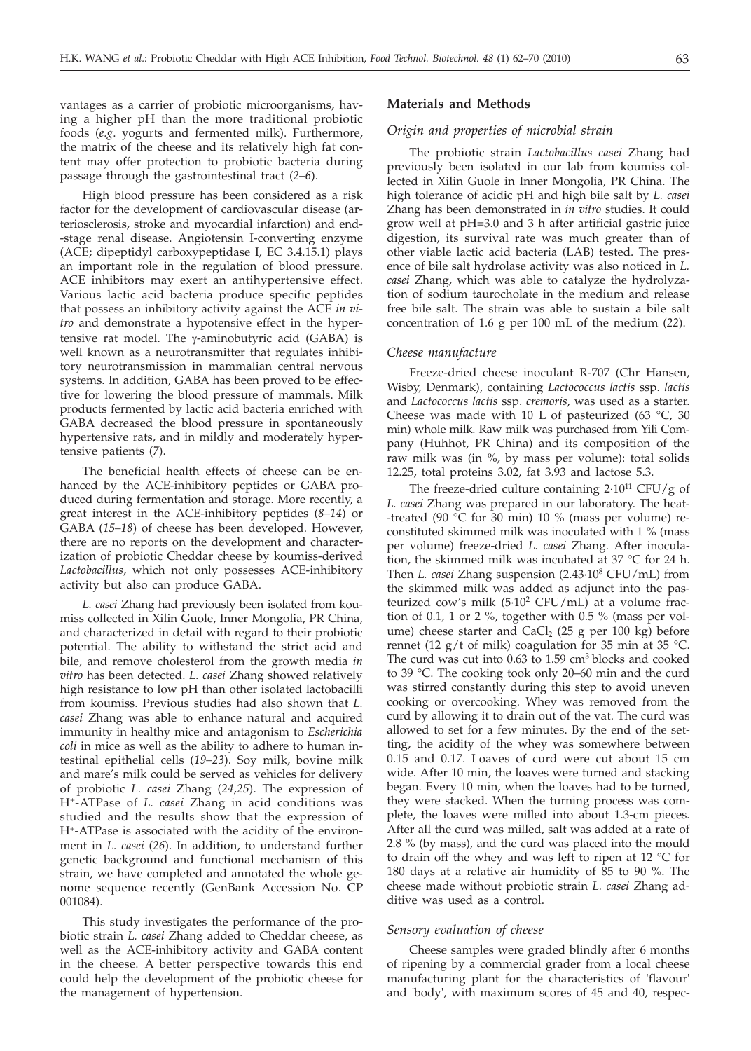vantages as a carrier of probiotic microorganisms, having a higher pH than the more traditional probiotic foods (*e.g*. yogurts and fermented milk). Furthermore, the matrix of the cheese and its relatively high fat content may offer protection to probiotic bacteria during passage through the gastrointestinal tract (*2–6*).

High blood pressure has been considered as a risk factor for the development of cardiovascular disease (arteriosclerosis, stroke and myocardial infarction) and end- -stage renal disease. Angiotensin I-converting enzyme (ACE; dipeptidyl carboxypeptidase I, EC 3.4.15.1) plays an important role in the regulation of blood pressure. ACE inhibitors may exert an antihypertensive effect. Various lactic acid bacteria produce specific peptides that possess an inhibitory activity against the ACE *in vitro* and demonstrate a hypotensive effect in the hypertensive rat model. The  $\gamma$ -aminobutyric acid (GABA) is well known as a neurotransmitter that regulates inhibitory neurotransmission in mammalian central nervous systems. In addition, GABA has been proved to be effective for lowering the blood pressure of mammals. Milk products fermented by lactic acid bacteria enriched with GABA decreased the blood pressure in spontaneously hypertensive rats, and in mildly and moderately hypertensive patients (*7*).

The beneficial health effects of cheese can be enhanced by the ACE-inhibitory peptides or GABA produced during fermentation and storage. More recently, a great interest in the ACE-inhibitory peptides (*8–14*) or GABA (*15–18*) of cheese has been developed. However, there are no reports on the development and characterization of probiotic Cheddar cheese by koumiss-derived *Lactobacillus*, which not only possesses ACE-inhibitory activity but also can produce GABA.

*L. casei* Zhang had previously been isolated from koumiss collected in Xilin Guole, Inner Mongolia, PR China, and characterized in detail with regard to their probiotic potential. The ability to withstand the strict acid and bile, and remove cholesterol from the growth media *in vitro* has been detected. *L. casei* Zhang showed relatively high resistance to low pH than other isolated lactobacilli from koumiss. Previous studies had also shown that *L. casei* Zhang was able to enhance natural and acquired immunity in healthy mice and antagonism to *Escherichia coli* in mice as well as the ability to adhere to human intestinal epithelial cells (*19–23*). Soy milk, bovine milk and mare's milk could be served as vehicles for delivery of probiotic *L. casei* Zhang (*24,25*). The expression of H+-ATPase of *L. casei* Zhang in acid conditions was studied and the results show that the expression of H+-ATPase is associated with the acidity of the environment in *L. casei* (*26*). In addition, to understand further genetic background and functional mechanism of this strain, we have completed and annotated the whole genome sequence recently (GenBank Accession No. CP 001084).

This study investigates the performance of the probiotic strain *L. casei* Zhang added to Cheddar cheese, as well as the ACE-inhibitory activity and GABA content in the cheese. A better perspective towards this end could help the development of the probiotic cheese for the management of hypertension.

#### **Materials and Methods**

## *Origin and properties of microbial strain*

The probiotic strain *Lactobacillus casei* Zhang had previously been isolated in our lab from koumiss collected in Xilin Guole in Inner Mongolia, PR China. The high tolerance of acidic pH and high bile salt by *L. casei* Zhang has been demonstrated in *in vitro* studies. It could grow well at pH=3.0 and 3 h after artificial gastric juice digestion, its survival rate was much greater than of other viable lactic acid bacteria (LAB) tested. The presence of bile salt hydrolase activity was also noticed in *L. casei* Zhang, which was able to catalyze the hydrolyzation of sodium taurocholate in the medium and release free bile salt. The strain was able to sustain a bile salt concentration of 1.6 g per 100 mL of the medium (*22*).

### *Cheese manufacture*

Freeze-dried cheese inoculant R-707 (Chr Hansen, Wisby, Denmark), containing *Lactococcus lactis* ssp. *lactis* and *Lactococcus lactis* ssp. *cremoris*, was used as a starter. Cheese was made with 10 L of pasteurized (63  $^{\circ}$ C, 30 min) whole milk. Raw milk was purchased from Yili Company (Huhhot, PR China) and its composition of the raw milk was (in %, by mass per volume): total solids 12.25, total proteins 3.02, fat 3.93 and lactose 5.3.

The freeze-dried culture containing  $2.10^{11}$  CFU/g of *L. casei* Zhang was prepared in our laboratory. The heat- -treated (90 °C for 30 min) 10 % (mass per volume) reconstituted skimmed milk was inoculated with 1 % (mass per volume) freeze-dried *L. casei* Zhang. After inoculation, the skimmed milk was incubated at 37 °C for 24 h. Then *L. casei* Zhang suspension (2.43·108 CFU/mL) from the skimmed milk was added as adjunct into the pasteurized cow's milk  $(5.10^2 \text{ CFU/mL})$  at a volume fraction of 0.1, 1 or 2 %, together with 0.5 % (mass per volume) cheese starter and  $CaCl<sub>2</sub>$  (25 g per 100 kg) before rennet (12 g/t of milk) coagulation for 35 min at 35 °C. The curd was cut into  $0.63$  to  $1.59$  cm<sup>3</sup> blocks and cooked to 39 °C. The cooking took only 20–60 min and the curd was stirred constantly during this step to avoid uneven cooking or overcooking. Whey was removed from the curd by allowing it to drain out of the vat. The curd was allowed to set for a few minutes. By the end of the setting, the acidity of the whey was somewhere between 0.15 and 0.17. Loaves of curd were cut about 15 cm wide. After 10 min, the loaves were turned and stacking began. Every 10 min, when the loaves had to be turned, they were stacked. When the turning process was complete, the loaves were milled into about 1.3-cm pieces. After all the curd was milled, salt was added at a rate of 2.8 % (by mass), and the curd was placed into the mould to drain off the whey and was left to ripen at 12 °C for 180 days at a relative air humidity of 85 to 90 %. The cheese made without probiotic strain *L. casei* Zhang additive was used as a control.

#### *Sensory evaluation of cheese*

Cheese samples were graded blindly after 6 months of ripening by a commercial grader from a local cheese manufacturing plant for the characteristics of 'flavour' and 'body', with maximum scores of 45 and 40, respec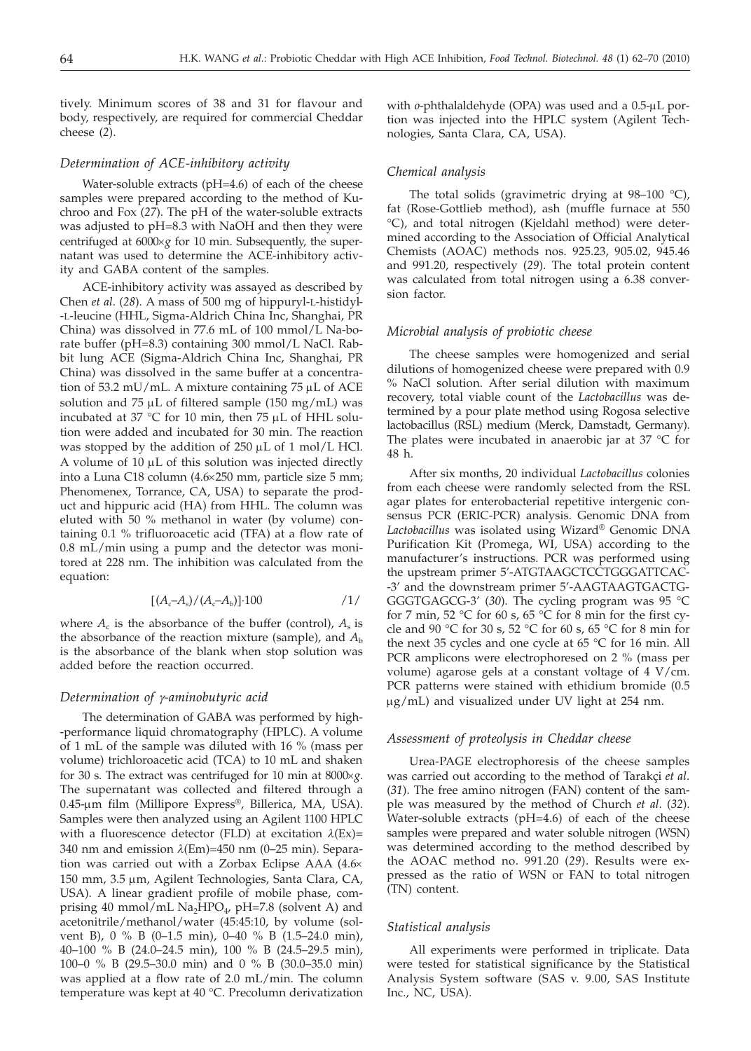tively. Minimum scores of 38 and 31 for flavour and body, respectively, are required for commercial Cheddar cheese (*2*).

# *Determination of ACE-inhibitory activity*

Water-soluble extracts (pH=4.6) of each of the cheese samples were prepared according to the method of Kuchroo and Fox (*27*). The pH of the water-soluble extracts was adjusted to pH=8.3 with NaOH and then they were centrifuged at  $6000 \times g$  for 10 min. Subsequently, the supernatant was used to determine the ACE-inhibitory activity and GABA content of the samples.

ACE-inhibitory activity was assayed as described by Chen *et al*. (*28*). A mass of 500 mg of hippuryl-L-histidyl- -L-leucine (HHL, Sigma-Aldrich China Inc, Shanghai, PR China) was dissolved in 77.6 mL of 100 mmol/L Na-borate buffer (pH=8.3) containing 300 mmol/L NaCl. Rabbit lung ACE (Sigma-Aldrich China Inc, Shanghai, PR China) was dissolved in the same buffer at a concentration of 53.2 mU/mL. A mixture containing  $75 \mu$ L of ACE solution and 75  $\mu$ L of filtered sample (150 mg/mL) was incubated at 37 °C for 10 min, then 75  $\mu$ L of HHL solution were added and incubated for 30 min. The reaction was stopped by the addition of  $250 \mu L$  of 1 mol/L HCl. A volume of  $10 \mu L$  of this solution was injected directly into a Luna C18 column (4.6×250 mm, particle size 5 mm; Phenomenex, Torrance, CA, USA) to separate the product and hippuric acid (HA) from HHL. The column was eluted with 50 % methanol in water (by volume) containing 0.1 % trifluoroacetic acid (TFA) at a flow rate of 0.8 mL/min using a pump and the detector was monitored at 228 nm. The inhibition was calculated from the equation:

$$
[(A_c - A_s)/(A_c - A_b)] \cdot 100 \tag{1/}
$$

where  $A_c$  is the absorbance of the buffer (control),  $A_s$  is the absorbance of the reaction mixture (sample), and *A*<sup>b</sup> is the absorbance of the blank when stop solution was added before the reaction occurred.

# *Determination of g-aminobutyric acid*

The determination of GABA was performed by high- -performance liquid chromatography (HPLC). A volume of 1 mL of the sample was diluted with 16 % (mass per volume) trichloroacetic acid (TCA) to 10 mL and shaken for 30 s. The extract was centrifuged for 10 min at 8000´*g*. The supernatant was collected and filtered through a 0.45-mm film (Millipore Express®, Billerica, MA, USA). Samples were then analyzed using an Agilent 1100 HPLC with a fluorescence detector (FLD) at excitation  $\lambda$ (Ex)= 340 nm and emission  $\lambda$ (Em)=450 nm (0–25 min). Separation was carried out with a Zorbax Eclipse AAA (4.6 $\times$ 150 mm, 3.5 µm, Agilent Technologies, Santa Clara, CA, USA). A linear gradient profile of mobile phase, comprising 40 mmol/mL  $Na<sub>2</sub>HPO<sub>4</sub>$ , pH=7.8 (solvent A) and acetonitrile/methanol/water (45:45:10, by volume (solvent B),0%B (0–1.5 min), 0–40 % B (1.5–24.0 min), 40–100 % B (24.0–24.5 min), 100 % B (24.5–29.5 min), 100–0 % B (29.5–30.0 min) and 0 % B (30.0–35.0 min) was applied at a flow rate of 2.0 mL/min. The column temperature was kept at 40 °C. Precolumn derivatization with *o*-phthalaldehyde (OPA) was used and a 0.5-µL portion was injected into the HPLC system (Agilent Technologies, Santa Clara, CA, USA).

## *Chemical analysis*

The total solids (gravimetric drying at  $98-100$  °C), fat (Rose-Gottlieb method), ash (muffle furnace at 550 °C), and total nitrogen (Kjeldahl method) were determined according to the Association of Official Analytical Chemists (AOAC) methods nos. 925.23, 905.02, 945.46 and 991.20, respectively (*29*). The total protein content was calculated from total nitrogen using a 6.38 conversion factor.

#### *Microbial analysis of probiotic cheese*

The cheese samples were homogenized and serial dilutions of homogenized cheese were prepared with 0.9 % NaCl solution. After serial dilution with maximum recovery, total viable count of the *Lactobacillus* was determined by a pour plate method using Rogosa selective lactobacillus (RSL) medium (Merck, Damstadt, Germany). The plates were incubated in anaerobic jar at 37 °C for 48 h.

After six months, 20 individual *Lactobacillus* colonies from each cheese were randomly selected from the RSL agar plates for enterobacterial repetitive intergenic consensus PCR (ERIC-PCR) analysis. Genomic DNA from *Lactobacillus* was isolated using Wizard® Genomic DNA Purification Kit (Promega, WI, USA) according to the manufacturer's instructions. PCR was performed using the upstream primer 5'-ATGTAAGCTCCTGGGATTCAC- -3' and the downstream primer 5'-AAGTAAGTGACTG-GGGTGAGCG-3' (*30*). The cycling program was 95 °C for 7 min, 52  $\degree$ C for 60 s, 65  $\degree$ C for 8 min for the first cycle and 90 °C for 30 s, 52 °C for 60 s, 65 °C for 8 min for the next 35 cycles and one cycle at 65 °C for 16 min. All PCR amplicons were electrophoresed on 2 % (mass per volume) agarose gels at a constant voltage of 4 V/cm. PCR patterns were stained with ethidium bromide (0.5  $\mu$ g/mL) and visualized under UV light at 254 nm.

## *Assessment of proteolysis in Cheddar cheese*

Urea-PAGE electrophoresis of the cheese samples was carried out according to the method of Tarakçi *et al*. (*31*). The free amino nitrogen (FAN) content of the sample was measured by the method of Church *et al*. (*32*). Water-soluble extracts (pH=4.6) of each of the cheese samples were prepared and water soluble nitrogen (WSN) was determined according to the method described by the AOAC method no. 991.20 (*29*). Results were expressed as the ratio of WSN or FAN to total nitrogen (TN) content.

#### *Statistical analysis*

All experiments were performed in triplicate. Data were tested for statistical significance by the Statistical Analysis System software (SAS v. 9.00, SAS Institute Inc., NC, USA).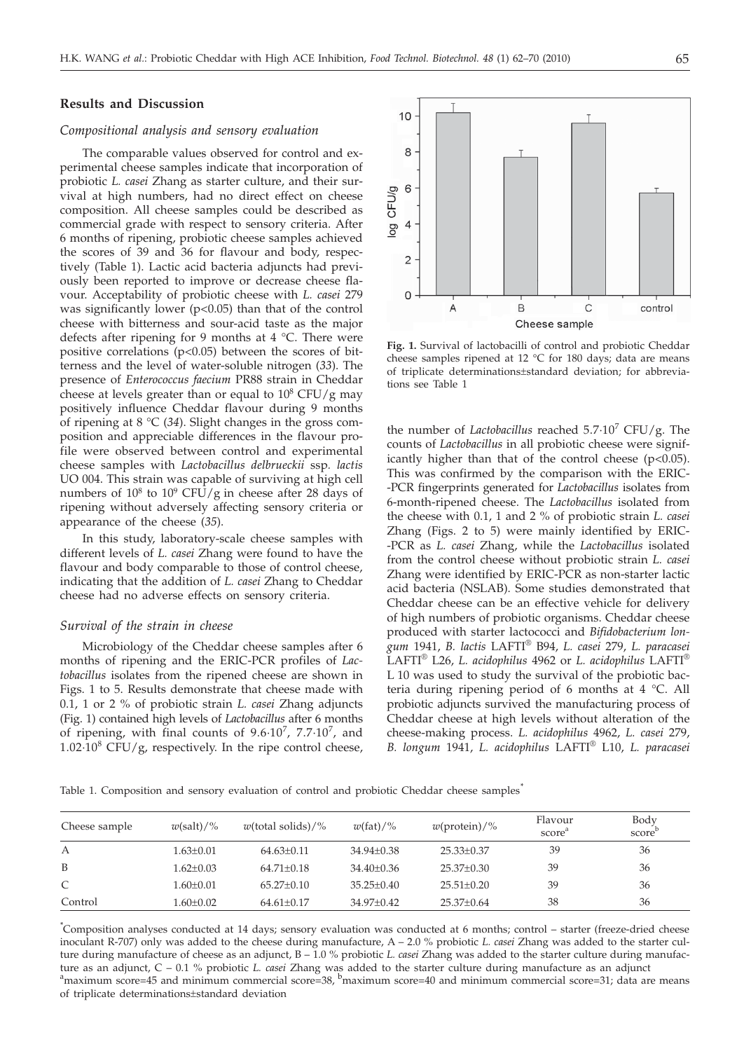## **Results and Discussion**

#### *Compositional analysis and sensory evaluation*

The comparable values observed for control and experimental cheese samples indicate that incorporation of probiotic *L. casei* Zhang as starter culture, and their survival at high numbers, had no direct effect on cheese composition. All cheese samples could be described as commercial grade with respect to sensory criteria. After 6 months of ripening, probiotic cheese samples achieved the scores of 39 and 36 for flavour and body, respectively (Table 1). Lactic acid bacteria adjuncts had previously been reported to improve or decrease cheese flavour. Acceptability of probiotic cheese with *L. casei* 279 was significantly lower  $(p<0.05)$  than that of the control cheese with bitterness and sour-acid taste as the major defects after ripening for 9 months at 4 °C. There were positive correlations  $(p<0.05)$  between the scores of bitterness and the level of water-soluble nitrogen (*33*). The presence of *Enterococcus faecium* PR88 strain in Cheddar cheese at levels greater than or equal to  $10^8$  CFU/g may positively influence Cheddar flavour during 9 months of ripening at 8 °C (*34*). Slight changes in the gross composition and appreciable differences in the flavour profile were observed between control and experimental cheese samples with *Lactobacillus delbrueckii* ssp*. lactis* UO 004. This strain was capable of surviving at high cell numbers of  $10^8$  to  $10^9$  CFU/g in cheese after 28 days of ripening without adversely affecting sensory criteria or appearance of the cheese (*35*).

In this study, laboratory-scale cheese samples with different levels of *L. casei* Zhang were found to have the flavour and body comparable to those of control cheese, indicating that the addition of *L. casei* Zhang to Cheddar cheese had no adverse effects on sensory criteria.

#### *Survival of the strain in cheese*

Microbiology of the Cheddar cheese samples after 6 months of ripening and the ERIC-PCR profiles of *Lactobacillus* isolates from the ripened cheese are shown in Figs. 1 to 5. Results demonstrate that cheese made with 0.1, 1 or 2 % of probiotic strain *L. casei* Zhang adjuncts (Fig. 1) contained high levels of *Lactobacillus* after 6 months of ripening, with final counts of  $9.6 \cdot 10^7$ ,  $7.7 \cdot 10^7$ , and  $1.02 \cdot 10^8$  CFU/g, respectively. In the ripe control cheese,



**Fig. 1.** Survival of lactobacilli of control and probiotic Cheddar cheese samples ripened at 12 °C for 180 days; data are means of triplicate determinations±standard deviation; for abbreviations see Table 1

the number of *Lactobacillus* reached  $5.7 \cdot 10^7$  CFU/g. The counts of *Lactobacillus* in all probiotic cheese were significantly higher than that of the control cheese  $(p<0.05)$ . This was confirmed by the comparison with the ERIC- -PCR fingerprints generated for *Lactobacillus* isolates from 6-month-ripened cheese. The *Lactobacillus* isolated from the cheese with 0.1, 1 and 2 % of probiotic strain *L. casei* Zhang (Figs. 2 to 5) were mainly identified by ERIC- -PCR as *L. casei* Zhang, while the *Lactobacillus* isolated from the control cheese without probiotic strain *L. casei* Zhang were identified by ERIC-PCR as non-starter lactic acid bacteria (NSLAB). Some studies demonstrated that Cheddar cheese can be an effective vehicle for delivery of high numbers of probiotic organisms. Cheddar cheese produced with starter lactococci and *Bifidobacterium longum* 1941, *B. lactis* LAFTI® B94, *L. casei* 279, *L. paracasei* LAFTI® L26, *L. acidophilus* 4962 or *L. acidophilus* LAFTI® L 10 was used to study the survival of the probiotic bacteria during ripening period of 6 months at 4 °C. All probiotic adjuncts survived the manufacturing process of Cheddar cheese at high levels without alteration of the cheese-making process. *L. acidophilus* 4962, *L. casei* 279, *B. longum* 1941, *L. acidophilus* LAFTI® L10, *L. paracasei*

Table 1. Composition and sensory evaluation of control and probiotic Cheddar cheese samples*\**

| Cheese sample | $w(\text{salt})/\%$ | $w$ (total solids)/% | $w(\text{fat})/$ % | $w(\text{protein})/\%$ | Flavour<br>score <sup>a</sup> | Body<br>score <sup>t</sup> |
|---------------|---------------------|----------------------|--------------------|------------------------|-------------------------------|----------------------------|
| А             | $1.63 \pm 0.01$     | $64.63 \pm 0.11$     | $34.94 + 0.38$     | $25.33 \pm 0.37$       | 39                            | 36                         |
| B             | $1.62 \pm 0.03$     | $64.71+0.18$         | $34.40 \pm 0.36$   | $25.37 \pm 0.30$       | 39                            | 36                         |
| C             | $1.60 \pm 0.01$     | $65.27+0.10$         | $35.25 \pm 0.40$   | $25.51 + 0.20$         | 39                            | 36                         |
| Control       | $1.60 \pm 0.02$     | $64.61 \pm 0.17$     | 34.97±0.42         | $25.37 \pm 0.64$       | 38                            | 36                         |
|               |                     |                      |                    |                        |                               |                            |

*\** Composition analyses conducted at 14 days; sensory evaluation was conducted at 6 months; control – starter (freeze-dried cheese inoculant R-707) only was added to the cheese during manufacture, A – 2.0 % probiotic *L. casei* Zhang was added to the starter culture during manufacture of cheese as an adjunct, B – 1.0 % probiotic *L. casei* Zhang was added to the starter culture during manufacture as an adjunct, C – 0.1 % probiotic *L. casei Z*hang was added to the starter culture during manufacture as an adjunct<br><sup>a</sup>maximum score=45 and minimum commercial score=38, <sup>b</sup>maximum score=40 and minimum commercial sco of triplicate determinations±standard deviation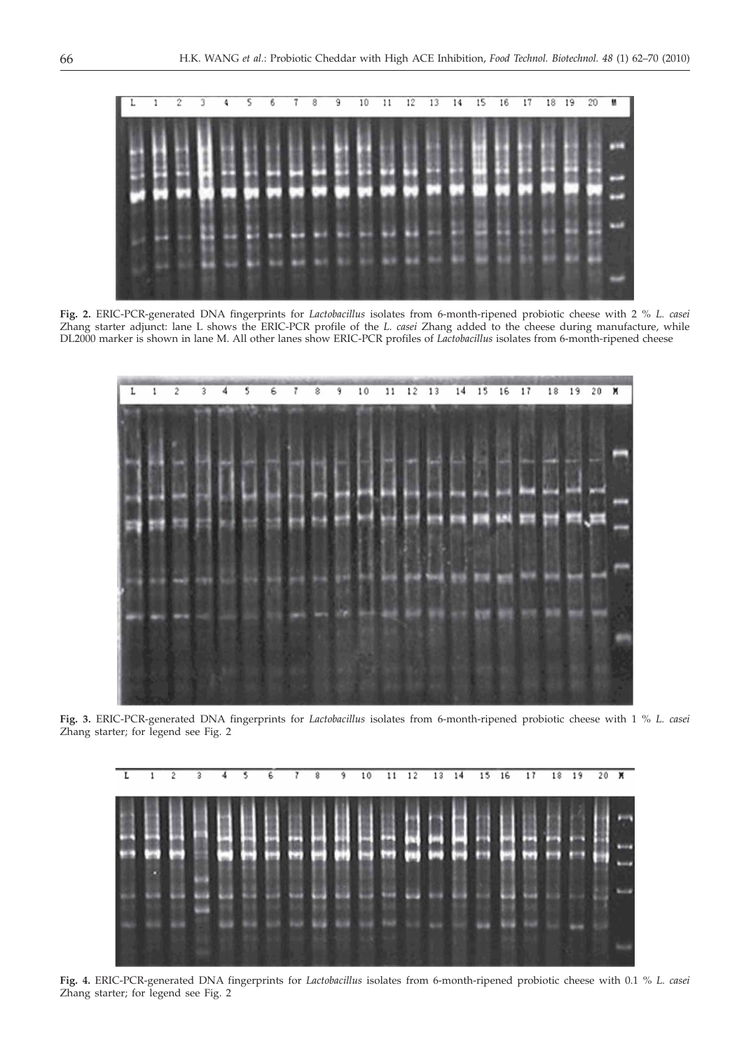

**Fig. 2.** ERIC-PCR-generated DNA fingerprints for *Lactobacillus* isolates from 6-month-ripened probiotic cheese with 2 % *L. casei* Zhang starter adjunct: lane L shows the ERIC-PCR profile of the *L. casei* Zhang added to the cheese during manufacture, while DL2000 marker is shown in lane M. All other lanes show ERIC-PCR profiles of *Lactobacillus* isolates from 6-month-ripened cheese



**Fig. 3.** ERIC-PCR-generated DNA fingerprints for *Lactobacillus* isolates from 6-month-ripened probiotic cheese with 1 % *L. casei* Zhang starter; for legend see Fig. 2



**Fig. 4.** ERIC-PCR-generated DNA fingerprints for *Lactobacillus* isolates from 6-month-ripened probiotic cheese with 0.1 % *L. casei* Zhang starter; for legend see Fig. 2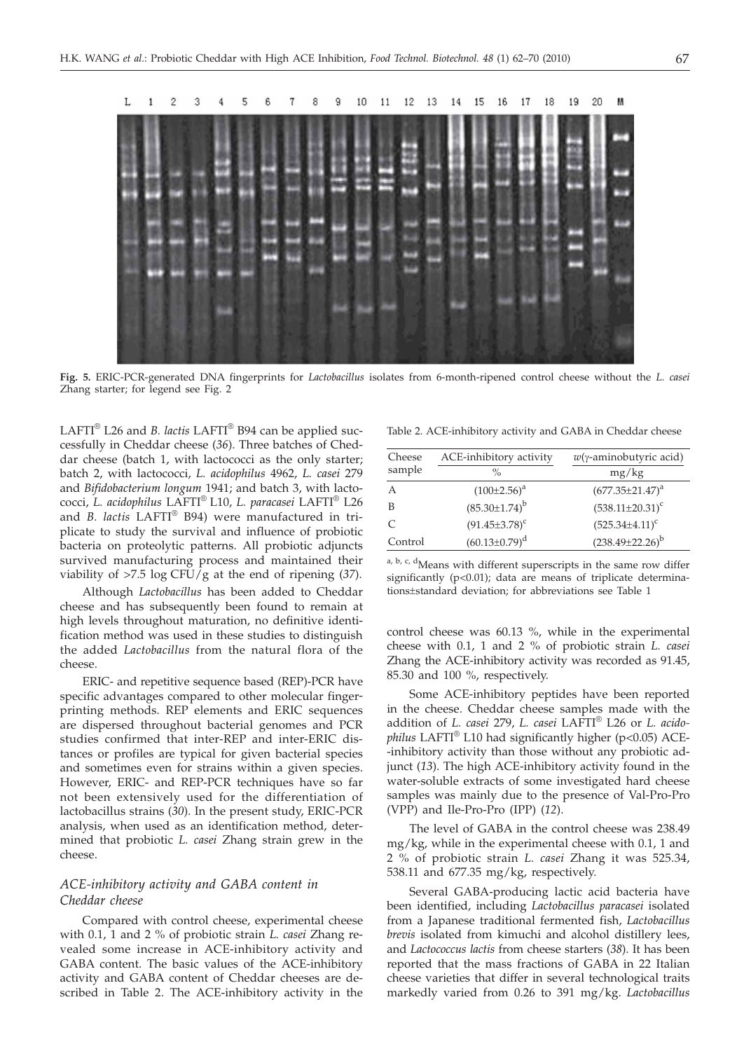

**Fig. 5.** ERIC-PCR-generated DNA fingerprints for *Lactobacillus* isolates from 6-month-ripened control cheese without the *L. casei* Zhang starter; for legend see Fig. 2

LAFTI® L26 and *B. lactis* LAFTI® B94 can be applied successfully in Cheddar cheese (*36*). Three batches of Cheddar cheese (batch 1, with lactococci as the only starter; batch 2, with lactococci, *L. acidophilus* 4962, *L. casei* 279 and *Bifidobacterium longum* 1941; and batch 3, with lactococci, *L. acidophilus* LAFTI® L10, *L. paracasei* LAFTI® L26 and *B. lactis* LAFTI® B94) were manufactured in triplicate to study the survival and influence of probiotic bacteria on proteolytic patterns. All probiotic adjuncts survived manufacturing process and maintained their viability of >7.5 log CFU/g at the end of ripening (*37*).

Although *Lactobacillus* has been added to Cheddar cheese and has subsequently been found to remain at high levels throughout maturation, no definitive identification method was used in these studies to distinguish the added *Lactobacillus* from the natural flora of the cheese.

ERIC- and repetitive sequence based (REP)-PCR have specific advantages compared to other molecular fingerprinting methods. REP elements and ERIC sequences are dispersed throughout bacterial genomes and PCR studies confirmed that inter-REP and inter-ERIC distances or profiles are typical for given bacterial species and sometimes even for strains within a given species. However, ERIC- and REP-PCR techniques have so far not been extensively used for the differentiation of lactobacillus strains (*30*). In the present study, ERIC-PCR analysis, when used as an identification method, determined that probiotic *L. casei* Zhang strain grew in the cheese.

# *ACE-inhibitory activity and GABA content in Cheddar cheese*

Compared with control cheese, experimental cheese with 0.1, 1 and 2 % of probiotic strain *L. casei* Zhang revealed some increase in ACE-inhibitory activity and GABA content. The basic values of the ACE-inhibitory activity and GABA content of Cheddar cheeses are described in Table 2. The ACE-inhibitory activity in the

Table 2. ACE-inhibitory activity and GABA in Cheddar cheese

| Cheese  | ACE-inhibitory activity | $w(\gamma$ -aminobutyric acid) |  |  |
|---------|-------------------------|--------------------------------|--|--|
| sample  | $\frac{0}{\alpha}$      | mg/kg                          |  |  |
| А       | $(100\pm2.56)^a$        | $(677.35 \pm 21.47)^a$         |  |  |
| B       | $(85.30 \pm 1.74)^b$    | $(538.11 \pm 20.31)^c$         |  |  |
| C       | $(91.45 \pm 3.78)^c$    | $(525.34 \pm 4.11)^c$          |  |  |
| Control | $(60.13 \pm 0.79)^d$    | $(238.49 \pm 22.26)^b$         |  |  |
|         |                         |                                |  |  |

a, b, c, d<sub>Means</sub> with different superscripts in the same row differ significantly  $(p<0.01)$ ; data are means of triplicate determinations±standard deviation; for abbreviations see Table 1

control cheese was 60.13 %, while in the experimental cheese with 0.1, 1 and 2 % of probiotic strain *L. casei* Zhang the ACE-inhibitory activity was recorded as 91.45, 85.30 and 100 %, respectively.

Some ACE-inhibitory peptides have been reported in the cheese. Cheddar cheese samples made with the addition of *L. casei* 279, *L. casei* LAFTI® L26 or *L. acidophilus* LAFTI® L10 had significantly higher (p<0.05) ACE- -inhibitory activity than those without any probiotic adjunct (*13*). The high ACE-inhibitory activity found in the water-soluble extracts of some investigated hard cheese samples was mainly due to the presence of Val-Pro-Pro (VPP) and Ile-Pro-Pro (IPP) (*12*).

The level of GABA in the control cheese was 238.49 mg/kg, while in the experimental cheese with 0.1, 1 and 2 % of probiotic strain *L. casei* Zhang it was 525.34, 538.11 and 677.35 mg/kg, respectively.

Several GABA-producing lactic acid bacteria have been identified, including *Lactobacillus paracasei* isolated from a Japanese traditional fermented fish, *Lactobacillus brevis* isolated from kimuchi and alcohol distillery lees, and *Lactococcus lactis* from cheese starters (*38*). It has been reported that the mass fractions of GABA in 22 Italian cheese varieties that differ in several technological traits markedly varied from 0.26 to 391 mg/kg. *Lactobacillus*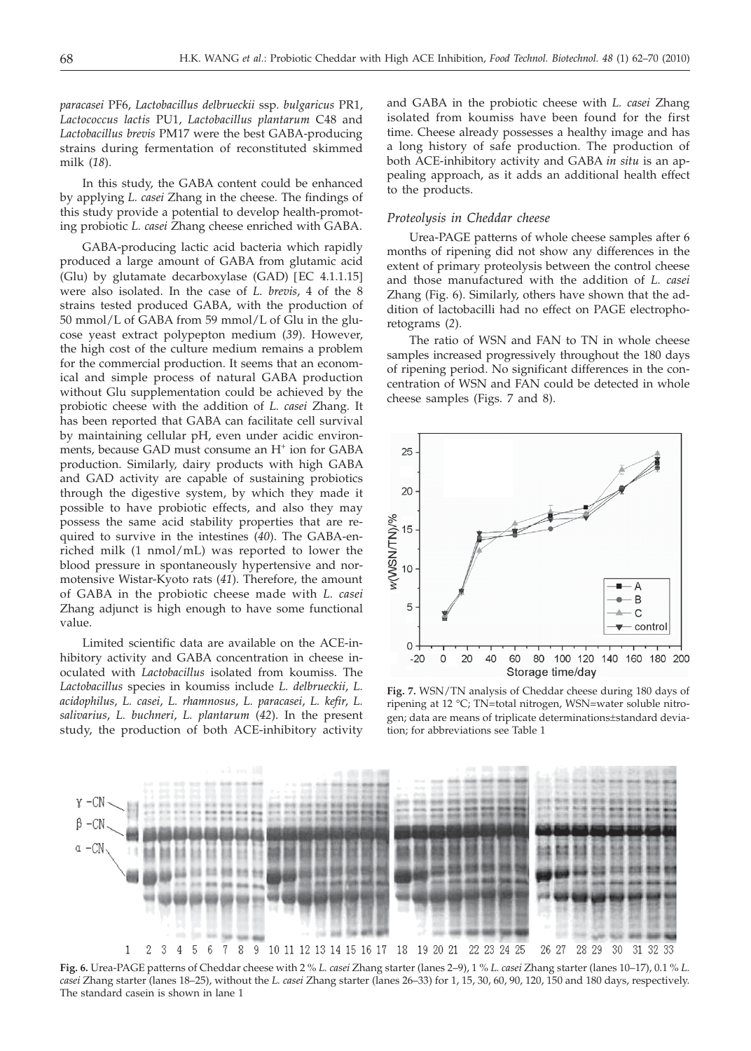*paracasei* PF6, *Lactobacillus delbrueckii* ssp. *bulgaricus* PR1, *Lactococcus lactis* PU1, *Lactobacillus plantarum* C48 and *Lactobacillus brevis* PM17 were the best GABA-producing strains during fermentation of reconstituted skimmed milk (*18*).

In this study, the GABA content could be enhanced by applying *L. casei* Zhang in the cheese. The findings of this study provide a potential to develop health-promoting probiotic *L. casei* Zhang cheese enriched with GABA.

GABA-producing lactic acid bacteria which rapidly produced a large amount of GABA from glutamic acid (Glu) by glutamate decarboxylase (GAD) [EC 4.1.1.15] were also isolated. In the case of *L. brevis*, 4 of the 8 strains tested produced GABA, with the production of 50 mmol/L of GABA from 59 mmol/L of Glu in the glucose yeast extract polypepton medium (*39*). However, the high cost of the culture medium remains a problem for the commercial production. It seems that an economical and simple process of natural GABA production without Glu supplementation could be achieved by the probiotic cheese with the addition of *L. casei* Zhang. It has been reported that GABA can facilitate cell survival by maintaining cellular pH, even under acidic environments, because GAD must consume an H<sup>+</sup> ion for GABA production. Similarly, dairy products with high GABA and GAD activity are capable of sustaining probiotics through the digestive system, by which they made it possible to have probiotic effects, and also they may possess the same acid stability properties that are required to survive in the intestines (*40*). The GABA-enriched milk (1 nmol/mL) was reported to lower the blood pressure in spontaneously hypertensive and normotensive Wistar-Kyoto rats (*41*). Therefore, the amount of GABA in the probiotic cheese made with *L. casei* Zhang adjunct is high enough to have some functional value.

Limited scientific data are available on the ACE-inhibitory activity and GABA concentration in cheese inoculated with *Lactobacillus* isolated from koumiss. The *Lactobacillus* species in koumiss include *L. delbrueckii*, *L. acidophilus*, *L. casei*, *L. rhamnosus*, *L. paracasei*, *L. kefir*, *L. salivarius*, *L. buchneri*, *L. plantarum* (*42*). In the present study, the production of both ACE-inhibitory activity and GABA in the probiotic cheese with *L. casei* Zhang isolated from koumiss have been found for the first time. Cheese already possesses a healthy image and has a long history of safe production. The production of both ACE-inhibitory activity and GABA *in situ* is an appealing approach, as it adds an additional health effect to the products.

# *Proteolysis in Cheddar cheese*

Urea-PAGE patterns of whole cheese samples after 6 months of ripening did not show any differences in the extent of primary proteolysis between the control cheese and those manufactured with the addition of *L. casei* Zhang (Fig. 6). Similarly, others have shown that the addition of lactobacilli had no effect on PAGE electrophoretograms (*2*).

The ratio of WSN and FAN to TN in whole cheese samples increased progressively throughout the 180 days of ripening period. No significant differences in the concentration of WSN and FAN could be detected in whole cheese samples (Figs. 7 and 8).



**Fig. 7.** WSN/TN analysis of Cheddar cheese during 180 days of ripening at 12 °C; TN=total nitrogen, WSN=water soluble nitrogen; data are means of triplicate determinations±standard deviation; for abbreviations see Table 1



**Fig. 6.** Urea-PAGE patterns of Cheddar cheese with 2 % *L. casei* Zhang starter (lanes 2–9), 1 % *L. casei* Zhang starter (lanes 10–17), 0.1 % *L. casei* Zhang starter (lanes 18–25), without the *L. casei* Zhang starter (lanes 26–33) for 1, 15, 30, 60, 90, 120, 150 and 180 days, respectively. The standard casein is shown in lane 1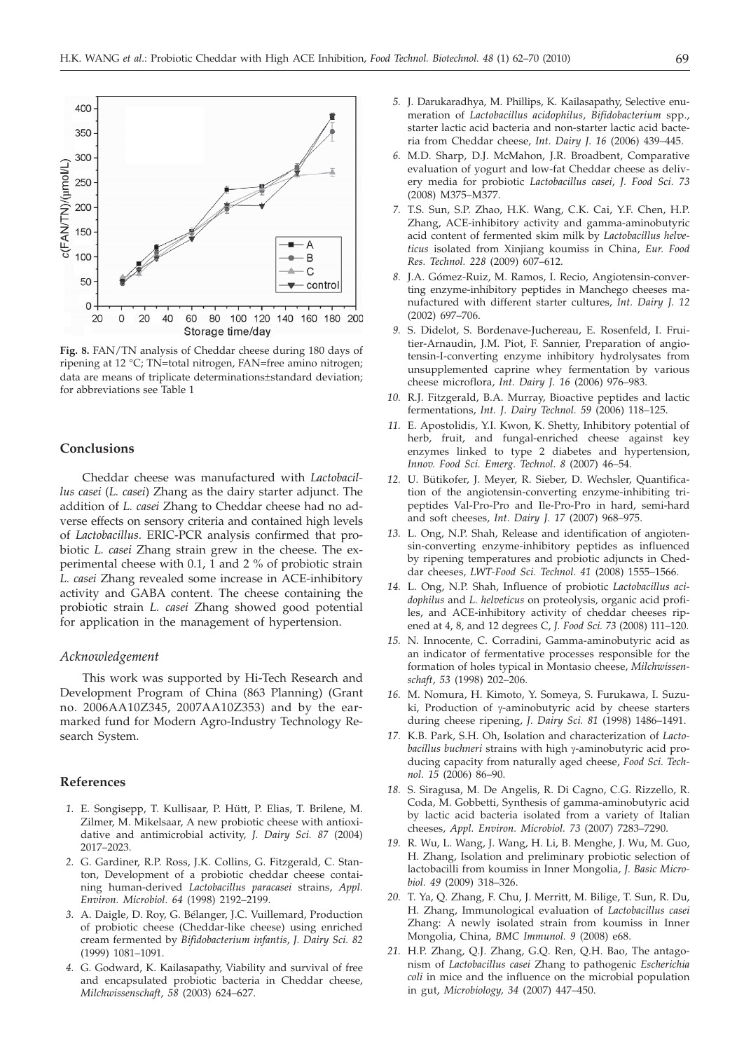

**Fig. 8.** FAN/TN analysis of Cheddar cheese during 180 days of ripening at 12 °C; TN=total nitrogen, FAN=free amino nitrogen; data are means of triplicate determinations±standard deviation; for abbreviations see Table 1

# **Conclusions**

Cheddar cheese was manufactured with *Lactobacillus casei* (*L. casei*) Zhang as the dairy starter adjunct. The addition of *L. casei* Zhang to Cheddar cheese had no adverse effects on sensory criteria and contained high levels of *Lactobacillus*. ERIC-PCR analysis confirmed that probiotic *L. casei* Zhang strain grew in the cheese. The experimental cheese with 0.1, 1 and 2 % of probiotic strain *L. casei* Zhang revealed some increase in ACE-inhibitory activity and GABA content. The cheese containing the probiotic strain *L. casei* Zhang showed good potential for application in the management of hypertension.

# *Acknowledgement*

This work was supported by Hi-Tech Research and Development Program of China (863 Planning) (Grant no. 2006AA10Z345, 2007AA10Z353) and by the earmarked fund for Modern Agro-Industry Technology Research System.

# **References**

- *1.* E. Songisepp, T. Kullisaar, P. Hütt, P. Elias, T. Brilene, M. Zilmer, M. Mikelsaar, A new probiotic cheese with antioxidative and antimicrobial activity, *J. Dairy Sci. 87* (2004) 2017–2023.
- *2.* G. Gardiner, R.P. Ross, J.K. Collins, G. Fitzgerald, C. Stanton, Development of a probiotic cheddar cheese containing human-derived *Lactobacillus paracasei* strains, *Appl. Environ. Microbiol. 64* (1998) 2192–2199.
- *3.* A. Daigle, D. Roy, G. Bélanger, J.C. Vuillemard, Production of probiotic cheese (Cheddar-like cheese) using enriched cream fermented by *Bifidobacterium infantis*, *J. Dairy Sci. 82* (1999) 1081–1091.
- *4.* G. Godward, K. Kailasapathy, Viability and survival of free and encapsulated probiotic bacteria in Cheddar cheese, *Milchwissenschaft*, *58* (2003) 624–627.
- *5.* J. Darukaradhya, M. Phillips, K. Kailasapathy, Selective enumeration of *Lactobacillus acidophilus*, *Bifidobacterium* spp., starter lactic acid bacteria and non-starter lactic acid bacteria from Cheddar cheese, *Int. Dairy J. 16* (2006) 439–445.
- *6.* M.D. Sharp, D.J. McMahon, J.R. Broadbent, Comparative evaluation of yogurt and low-fat Cheddar cheese as delivery media for probiotic *Lactobacillus casei*, *J. Food Sci. 73* (2008) M375–M377.
- *7.* T.S. Sun, S.P. Zhao, H.K. Wang, C.K. Cai, Y.F. Chen, H.P. Zhang, ACE-inhibitory activity and gamma-aminobutyric acid content of fermented skim milk by *Lactobacillus helveticus* isolated from Xinjiang koumiss in China, *Eur. Food Res. Technol. 228* (2009) 607–612.
- *8.* J.A. Gómez-Ruiz, M. Ramos, I. Recio, Angiotensin-converting enzyme-inhibitory peptides in Manchego cheeses manufactured with different starter cultures, *Int. Dairy J. 12* (2002) 697–706.
- *9.* S. Didelot, S. Bordenave-Juchereau, E. Rosenfeld, I. Fruitier-Arnaudin, J.M. Piot, F. Sannier, Preparation of angiotensin-I-converting enzyme inhibitory hydrolysates from unsupplemented caprine whey fermentation by various cheese microflora, *Int. Dairy J. 16* (2006) 976–983.
- *10.* R.J. Fitzgerald, B.A. Murray, Bioactive peptides and lactic fermentations, *Int. J. Dairy Technol. 59* (2006) 118–125.
- *11.* E. Apostolidis, Y.I. Kwon, K. Shetty, Inhibitory potential of herb, fruit, and fungal-enriched cheese against key enzymes linked to type 2 diabetes and hypertension, *Innov. Food Sci. Emerg. Technol*. *8* (2007) 46–54.
- *12.* U. Bütikofer, J. Meyer, R. Sieber, D. Wechsler, Quantification of the angiotensin-converting enzyme-inhibiting tripeptides Val-Pro-Pro and Ile-Pro-Pro in hard, semi-hard and soft cheeses, *Int. Dairy J. 17* (2007) 968–975.
- *13.* L. Ong, N.P. Shah, Release and identification of angiotensin-converting enzyme-inhibitory peptides as influenced by ripening temperatures and probiotic adjuncts in Cheddar cheeses, *LWT-Food Sci. Technol*. *41* (2008) 1555–1566.
- *14.* L. Ong, N.P. Shah, Influence of probiotic *Lactobacillus acidophilus* and *L. helveticus* on proteolysis, organic acid profiles, and ACE-inhibitory activity of cheddar cheeses ripened at 4, 8, and 12 degrees C, *J. Food Sci. 73* (2008) 111–120.
- *15.* N. Innocente, C. Corradini, Gamma-aminobutyric acid as an indicator of fermentative processes responsible for the formation of holes typical in Montasio cheese, *Milchwissenschaft*, *53* (1998) 202–206.
- *16.* M. Nomura, H. Kimoto, Y. Someya, S. Furukawa, I. Suzuki, Production of  $\gamma$ -aminobutyric acid by cheese starters during cheese ripening, *J. Dairy Sci. 81* (1998) 1486–1491.
- *17.* K.B. Park, S.H. Oh, Isolation and characterization of *Lacto*bacillus buchneri strains with high y-aminobutyric acid producing capacity from naturally aged cheese, *Food Sci. Technol*. *15* (2006) 86–90.
- *18.* S. Siragusa, M. De Angelis, R. Di Cagno, C.G. Rizzello, R. Coda, M. Gobbetti, Synthesis of gamma-aminobutyric acid by lactic acid bacteria isolated from a variety of Italian cheeses, *Appl. Environ. Microbiol. 73* (2007) 7283–7290.
- *19.* R. Wu, L. Wang, J. Wang, H. Li, B. Menghe, J. Wu, M. Guo, H. Zhang, Isolation and preliminary probiotic selection of lactobacilli from koumiss in Inner Mongolia, *J. Basic Microbiol. 49* (2009) 318–326.
- *20.* T. Ya, Q. Zhang, F. Chu, J. Merritt, M. Bilige, T. Sun, R. Du, H. Zhang, Immunological evaluation of *Lactobacillus casei* Zhang: A newly isolated strain from koumiss in Inner Mongolia, China, *BMC Immunol. 9* (2008) e68.
- *21.* H.P. Zhang, Q.J. Zhang, G.Q. Ren, Q.H. Bao, The antagonism of *Lactobacillus casei* Zhang to pathogenic *Escherichia coli* in mice and the influence on the microbial population in gut, *Microbiology, 34* (2007) 447–450.